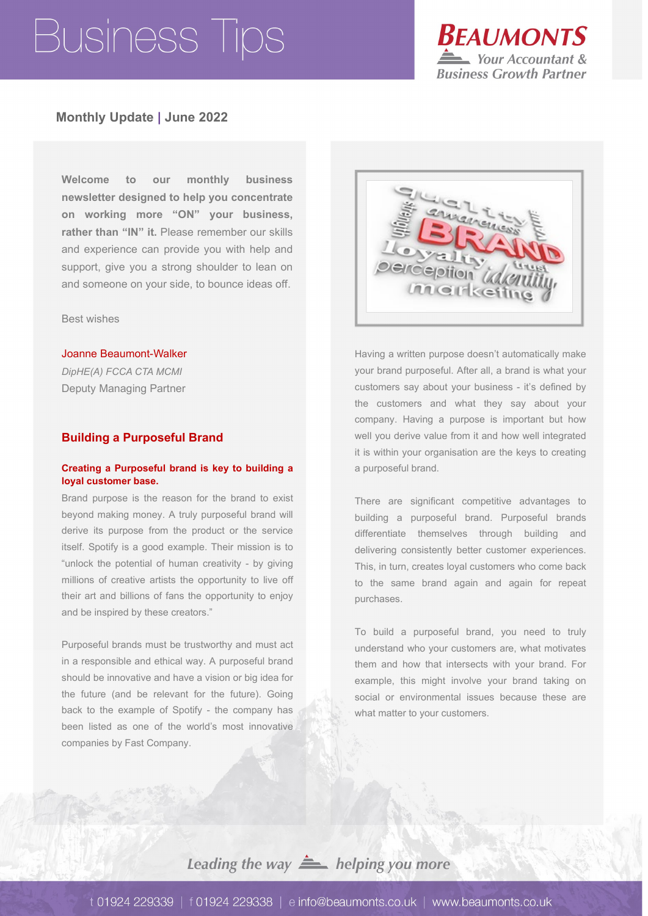

## **Monthly Update | June 2022**

**Welcome to our monthly business newsletter designed to help you concentrate on working more "ON" your business, rather than "IN" it.** Please remember our skills and experience can provide you with help and support, give you a strong shoulder to lean on and someone on your side, to bounce ideas off.

Best wishes

#### Joanne Beaumont-Walker

*DipHE(A) FCCA CTA MCMI* Deputy Managing Partner

### **Building a Purposeful Brand**

### **Creating a Purposeful brand is key to building a loyal customer base.**

Brand purpose is the reason for the brand to exist beyond making money. A truly purposeful brand will derive its purpose from the product or the service itself. Spotify is a good example. Their mission is to "unlock the potential of human creativity - by giving millions of creative artists the opportunity to live off their art and billions of fans the opportunity to enjoy and be inspired by these creators."

Purposeful brands must be trustworthy and must act in a responsible and ethical way. A purposeful brand should be innovative and have a vision or big idea for the future (and be relevant for the future). Going back to the example of Spotify - the company has been listed as one of the world's most innovative companies by Fast Company.



Having a written purpose doesn't automatically make your brand purposeful. After all, a brand is what your customers say about your business - it's defined by the customers and what they say about your company. Having a purpose is important but how well you derive value from it and how well integrated it is within your organisation are the keys to creating a purposeful brand.

There are significant competitive advantages to building a purposeful brand. Purposeful brands differentiate themselves through building and delivering consistently better customer experiences. This, in turn, creates loyal customers who come back to the same brand again and again for repeat purchases.

To build a purposeful brand, you need to truly understand who your customers are, what motivates them and how that intersects with your brand. For example, this might involve your brand taking on social or environmental issues because these are what matter to your customers.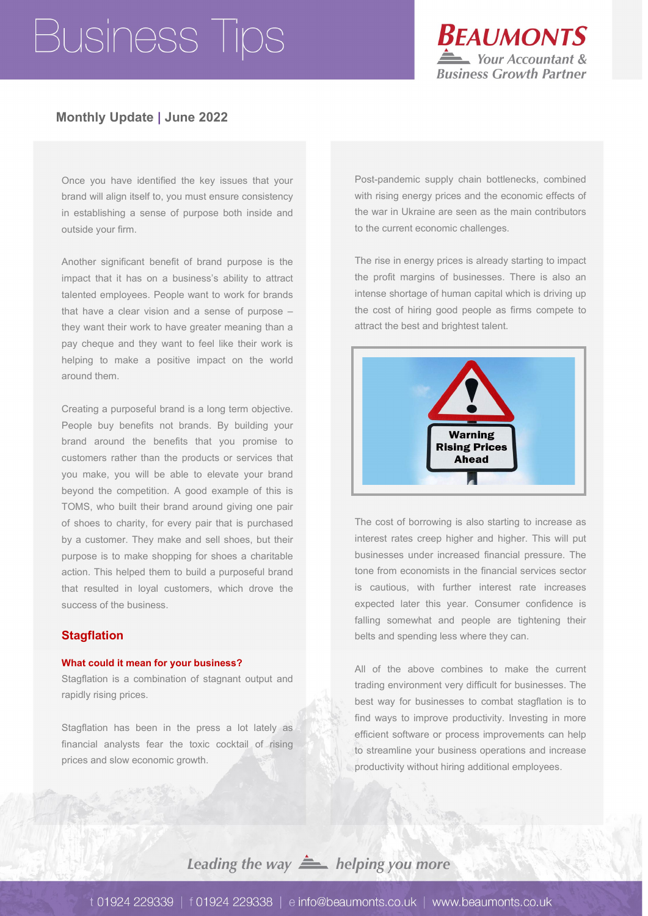

## **Monthly Update | June 2022**

Once you have identified the key issues that your brand will align itself to, you must ensure consistency in establishing a sense of purpose both inside and outside your firm.

Another significant benefit of brand purpose is the impact that it has on a business's ability to attract talented employees. People want to work for brands that have a clear vision and a sense of purpose – they want their work to have greater meaning than a pay cheque and they want to feel like their work is helping to make a positive impact on the world around them.

Creating a purposeful brand is a long term objective. People buy benefits not brands. By building your brand around the benefits that you promise to customers rather than the products or services that you make, you will be able to elevate your brand beyond the competition. A good example of this is TOMS, who built their brand around giving one pair of shoes to charity, for every pair that is purchased by a customer. They make and sell shoes, but their purpose is to make shopping for shoes a charitable action. This helped them to build a purposeful brand that resulted in loyal customers, which drove the success of the business.

## **Stagflation**

### **What could it mean for your business?**

Stagflation is a combination of stagnant output and rapidly rising prices.

Stagflation has been in the press a lot lately as financial analysts fear the toxic cocktail of rising prices and slow economic growth.

Post-pandemic supply chain bottlenecks, combined with rising energy prices and the economic effects of the war in Ukraine are seen as the main contributors to the current economic challenges.

The rise in energy prices is already starting to impact the profit margins of businesses. There is also an intense shortage of human capital which is driving up the cost of hiring good people as firms compete to attract the best and brightest talent.



The cost of borrowing is also starting to increase as interest rates creep higher and higher. This will put businesses under increased financial pressure. The tone from economists in the financial services sector is cautious, with further interest rate increases expected later this year. Consumer confidence is falling somewhat and people are tightening their belts and spending less where they can.

All of the above combines to make the current trading environment very difficult for businesses. The best way for businesses to combat stagflation is to find ways to improve productivity. Investing in more efficient software or process improvements can help to streamline your business operations and increase productivity without hiring additional employees.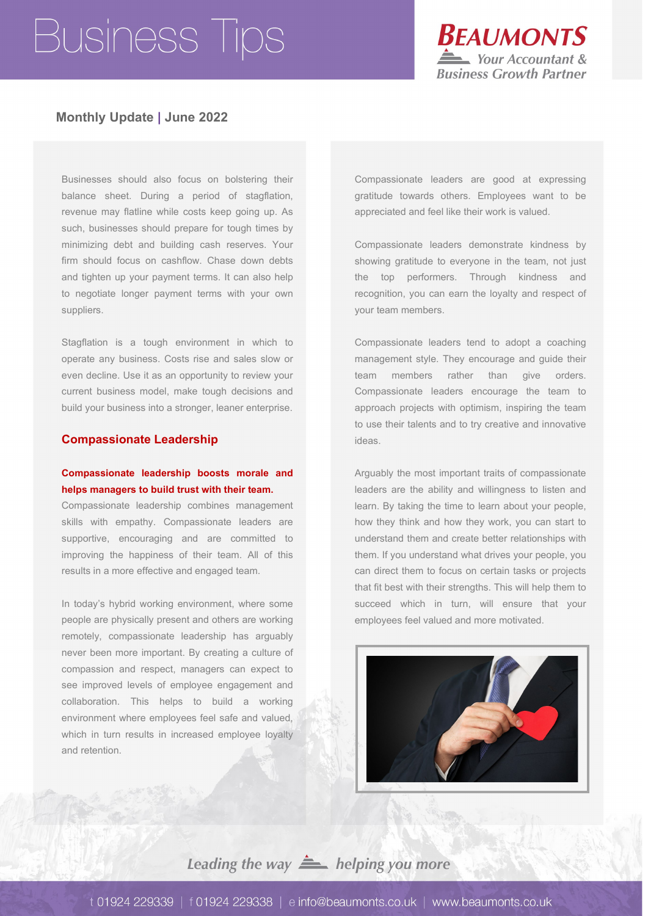

## **Monthly Update | June 2022**

Businesses should also focus on bolstering their balance sheet. During a period of stagflation, revenue may flatline while costs keep going up. As such, businesses should prepare for tough times by minimizing debt and building cash reserves. Your firm should focus on cashflow. Chase down debts and tighten up your payment terms. It can also help to negotiate longer payment terms with your own suppliers.

Stagflation is a tough environment in which to operate any business. Costs rise and sales slow or even decline. Use it as an opportunity to review your current business model, make tough decisions and build your business into a stronger, leaner enterprise.

#### **Compassionate Leadership**

## **Compassionate leadership boosts morale and helps managers to build trust with their team.**

Compassionate leadership combines management skills with empathy. Compassionate leaders are supportive, encouraging and are committed to improving the happiness of their team. All of this results in a more effective and engaged team.

In today's hybrid working environment, where some people are physically present and others are working remotely, compassionate leadership has arguably never been more important. By creating a culture of compassion and respect, managers can expect to see improved levels of employee engagement and collaboration. This helps to build a working environment where employees feel safe and valued, which in turn results in increased employee loyalty and retention.

Compassionate leaders are good at expressing gratitude towards others. Employees want to be appreciated and feel like their work is valued.

Compassionate leaders demonstrate kindness by showing gratitude to everyone in the team, not just the top performers. Through kindness and recognition, you can earn the loyalty and respect of your team members.

Compassionate leaders tend to adopt a coaching management style. They encourage and guide their team members rather than give orders. Compassionate leaders encourage the team to approach projects with optimism, inspiring the team to use their talents and to try creative and innovative ideas.

Arguably the most important traits of compassionate leaders are the ability and willingness to listen and learn. By taking the time to learn about your people, how they think and how they work, you can start to understand them and create better relationships with them. If you understand what drives your people, you can direct them to focus on certain tasks or projects that fit best with their strengths. This will help them to succeed which in turn, will ensure that your employees feel valued and more motivated.